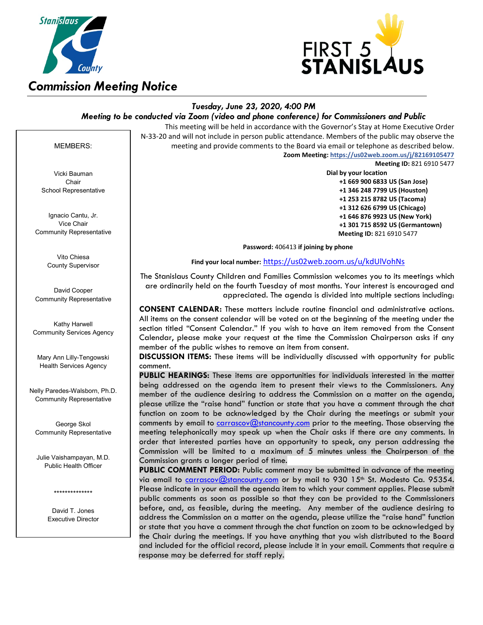



# *Tuesday, June 23, 2020, 4:00 PM*

## *Meeting to be conducted via Zoom (video and phone conference) for Commissioners and Public*

This meeting will be held in accordance with the Governor's Stay at Home Executive Order N-33-20 and will not include in person public attendance. Members of the public may observe the meeting and provide comments to the Board via email or telephone as described below. **Zoom Meeting: https://us02web.zoom.us/j/82169105477**

Vicki Bauman **Chair** School Representative

MEMBERS:

Ignacio Cantu, Jr. Vice Chair Community Representative

> Vito Chiesa County Supervisor

David Cooper Community Representative

Kathy Harwell Community Services Agency

Mary Ann Lilly-Tengowski Health Services Agency

Nelly Paredes-Walsborn, Ph.D. Community Representative

George Skol Community Representative

Julie Vaishampayan, M.D. Public Health Officer

\*\*\*\*\*\*\*\*\*\*\*\*\*\*

David T. Jones Executive Director **Meeting ID:** 821 6910 5477

**Dial by your location +1 669 900 6833 US (San Jose) +1 346 248 7799 US (Houston) +1 253 215 8782 US (Tacoma) +1 312 626 6799 US (Chicago) +1 646 876 9923 US (New York) +1 301 715 8592 US (Germantown) Meeting ID:** 821 6910 5477

**Password:** 406413 **if joining by phone**

**Find your local number:** <https://us02web.zoom.us/u/kdUlVohNs>

The Stanislaus County Children and Families Commission welcomes you to its meetings which are ordinarily held on the fourth Tuesday of most months. Your interest is encouraged and appreciated. The agenda is divided into multiple sections including:

**CONSENT CALENDAR:** These matters include routine financial and administrative actions. All items on the consent calendar will be voted on at the beginning of the meeting under the section titled "Consent Calendar." If you wish to have an item removed from the Consent Calendar, please make your request at the time the Commission Chairperson asks if any member of the public wishes to remove an item from consent.

**DISCUSSION ITEMS:** These items will be individually discussed with opportunity for public comment.

**PUBLIC HEARINGS:** These items are opportunities for individuals interested in the matter being addressed on the agenda item to present their views to the Commissioners. Any member of the audience desiring to address the Commission on a matter on the agenda, please utilize the "raise hand" function or state that you have a comment through the chat function on zoom to be acknowledged by the Chair during the meetings or submit your comments by email to [carrascov@stancounty.com](mailto:carrascov@stancounty.com) prior to the meeting. Those observing the meeting telephonically may speak up when the Chair asks if there are any comments. In order that interested parties have an opportunity to speak, any person addressing the Commission will be limited to a maximum of 5 minutes unless the Chairperson of the Commission grants a longer period of time.

**PUBLIC COMMENT PERIOD:** Public comment may be submitted in advance of the meeting via email to <u>carrascov@stancounty.com</u> or by mail to 930 15<sup>th</sup> St. Modesto Ca. 95354. Please indicate in your email the agenda item to which your comment applies. Please submit public comments as soon as possible so that they can be provided to the Commissioners before, and, as feasible, during the meeting. Any member of the audience desiring to address the Commission on a matter on the agenda, please utilize the "raise hand" function or state that you have a comment through the chat function on zoom to be acknowledged by the Chair during the meetings. If you have anything that you wish distributed to the Board and included for the official record, please include it in your email. Comments that require a response may be deferred for staff reply.